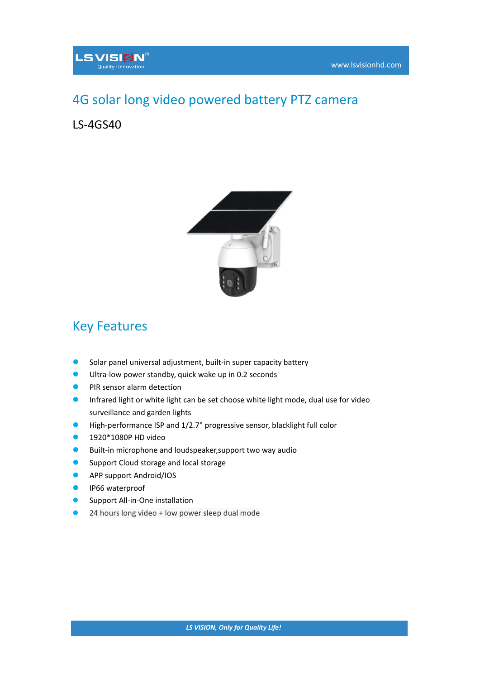## 4G solar long video powered battery PTZ camera

## LS-4GS40



## Key Features

- Solar panel universal adjustment, built-in super capacity battery
- Ultra-low power standby, quick wake up in 0.2 seconds
- **PIR sensor alarm detection**
- **O** Infrared light or white light can be set choose white light mode, dual use for video surveillance and garden lights
- High-performance ISP and 1/2.7" progressive sensor, blacklight full color
- **1920\*1080P HD video**
- **Built-in microphone and loudspeaker, support two way audio**
- **Support Cloud storage and local storage**
- **APP support Android/IOS**
- IP66 waterproof
- Support All-in-One installation
- 24 hours long video + low power sleep dual mode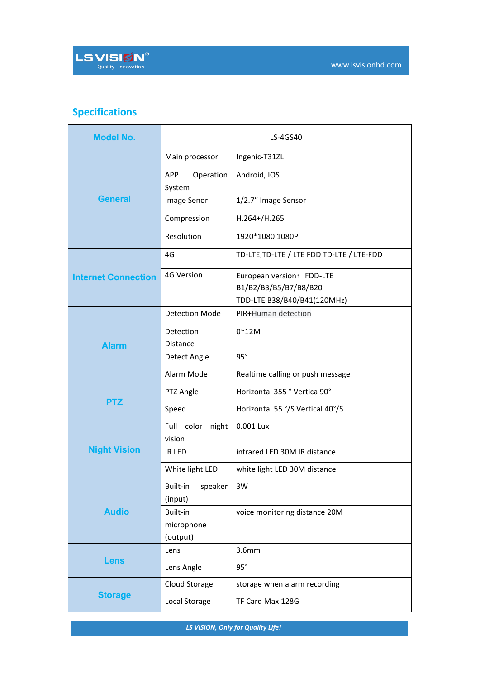## **Specifications**

| <b>Model No.</b>           |                                    | LS-4GS40                                           |
|----------------------------|------------------------------------|----------------------------------------------------|
| <b>General</b>             | Main processor                     | Ingenic-T31ZL                                      |
|                            | Operation<br><b>APP</b><br>System  | Android, IOS                                       |
|                            | Image Senor                        | 1/2.7" Image Sensor                                |
|                            | Compression                        | H.264+/H.265                                       |
|                            | Resolution                         | 1920*1080 1080P                                    |
| <b>Internet Connection</b> | 4G                                 | TD-LTE, TD-LTE / LTE FDD TD-LTE / LTE-FDD          |
|                            | 4G Version                         | European version: FDD-LTE<br>B1/B2/B3/B5/B7/B8/B20 |
|                            | <b>Detection Mode</b>              | TDD-LTE B38/B40/B41(120MHz)<br>PIR+Human detection |
| <b>Alarm</b>               | Detection                          | $0^{\sim}$ 12M                                     |
|                            | Distance<br>Detect Angle           | 95°                                                |
|                            | Alarm Mode                         | Realtime calling or push message                   |
| <b>PTZ</b>                 | PTZ Angle                          | Horizontal 355 ° Vertica 90°                       |
|                            | Speed                              | Horizontal 55 °/S Vertical 40°/S                   |
| <b>Night Vision</b>        | Full color night                   | 0.001 Lux                                          |
|                            | vision<br>IR LED                   | infrared LED 30M IR distance                       |
|                            | White light LED                    | white light LED 30M distance                       |
| <b>Audio</b>               | Built-in<br>speaker<br>(input)     | 3W                                                 |
|                            | Built-in<br>microphone<br>(output) | voice monitoring distance 20M                      |
| <b>Lens</b>                | Lens                               | 3.6mm                                              |
|                            | Lens Angle                         | 95°                                                |
| <b>Storage</b>             | Cloud Storage                      | storage when alarm recording                       |
|                            | Local Storage                      | TF Card Max 128G                                   |

*LS VISION, Only for Quality Life!*